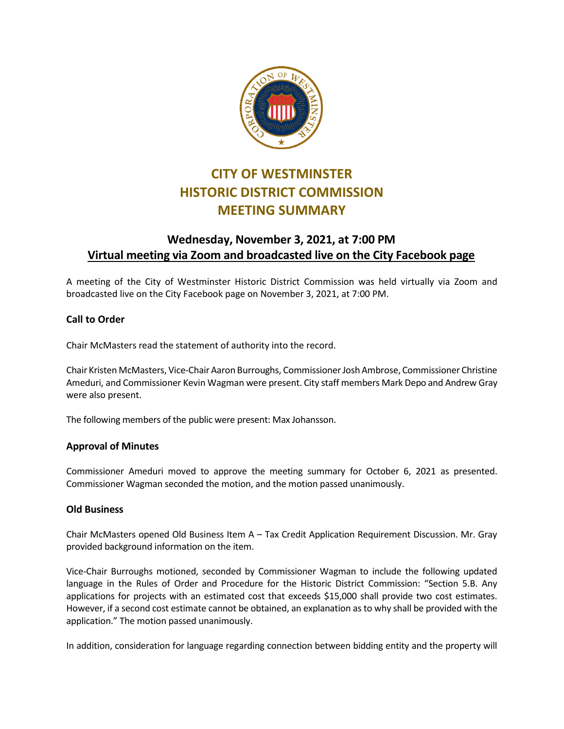

# **CITY OF WESTMINSTER HISTORIC DISTRICT COMMISSION MEETING SUMMARY**

# **Wednesday, November 3, 2021, at 7:00 PM Virtual meeting via Zoom and broadcasted live on the City Facebook page**

A meeting of the City of Westminster Historic District Commission was held virtually via Zoom and broadcasted live on the City Facebook page on November 3, 2021, at 7:00 PM.

## **Call to Order**

Chair McMasters read the statement of authority into the record.

Chair Kristen McMasters, Vice-Chair Aaron Burroughs, Commissioner Josh Ambrose, Commissioner Christine Ameduri, and Commissioner Kevin Wagman were present. City staff members Mark Depo and Andrew Gray were also present.

The following members of the public were present: Max Johansson.

### **Approval of Minutes**

Commissioner Ameduri moved to approve the meeting summary for October 6, 2021 as presented. Commissioner Wagman seconded the motion, and the motion passed unanimously.

### **Old Business**

Chair McMasters opened Old Business Item A – Tax Credit Application Requirement Discussion. Mr. Gray provided background information on the item.

Vice-Chair Burroughs motioned, seconded by Commissioner Wagman to include the following updated language in the Rules of Order and Procedure for the Historic District Commission: "Section 5.B. Any applications for projects with an estimated cost that exceeds \$15,000 shall provide two cost estimates. However, if a second cost estimate cannot be obtained, an explanation as to why shall be provided with the application." The motion passed unanimously.

In addition, consideration for language regarding connection between bidding entity and the property will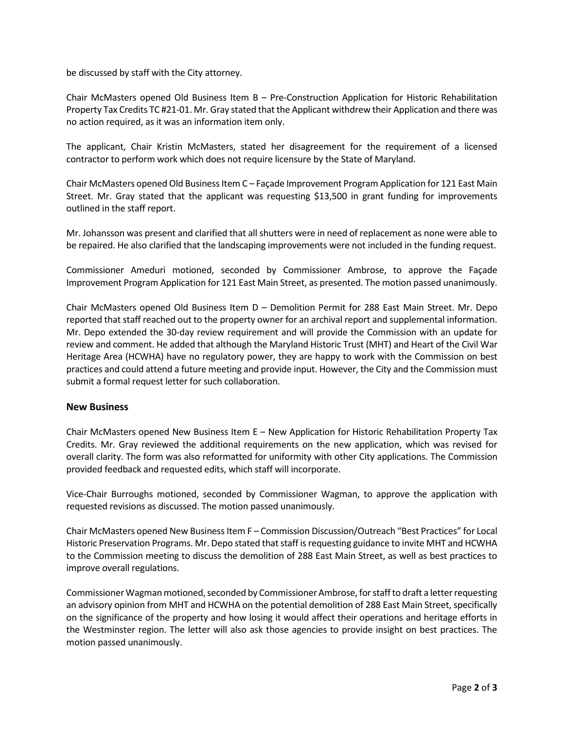be discussed by staff with the City attorney.

Chair McMasters opened Old Business Item B – Pre-Construction Application for Historic Rehabilitation Property Tax Credits TC #21-01. Mr. Gray stated that the Applicant withdrew their Application and there was no action required, as it was an information item only.

The applicant, Chair Kristin McMasters, stated her disagreement for the requirement of a licensed contractor to perform work which does not require licensure by the State of Maryland.

Chair McMasters opened Old Business Item C – Façade Improvement Program Application for 121 East Main Street. Mr. Gray stated that the applicant was requesting \$13,500 in grant funding for improvements outlined in the staff report.

Mr. Johansson was present and clarified that all shutters were in need of replacement as none were able to be repaired. He also clarified that the landscaping improvements were not included in the funding request.

Commissioner Ameduri motioned, seconded by Commissioner Ambrose, to approve the Façade Improvement Program Application for 121 East Main Street, as presented. The motion passed unanimously.

Chair McMasters opened Old Business Item D – Demolition Permit for 288 East Main Street. Mr. Depo reported that staff reached out to the property owner for an archival report and supplemental information. Mr. Depo extended the 30-day review requirement and will provide the Commission with an update for review and comment. He added that although the Maryland Historic Trust (MHT) and Heart of the Civil War Heritage Area (HCWHA) have no regulatory power, they are happy to work with the Commission on best practices and could attend a future meeting and provide input. However, the City and the Commission must submit a formal request letter for such collaboration.

#### **New Business**

Chair McMasters opened New Business Item E – New Application for Historic Rehabilitation Property Tax Credits. Mr. Gray reviewed the additional requirements on the new application, which was revised for overall clarity. The form was also reformatted for uniformity with other City applications. The Commission provided feedback and requested edits, which staff will incorporate.

Vice-Chair Burroughs motioned, seconded by Commissioner Wagman, to approve the application with requested revisions as discussed. The motion passed unanimously.

Chair McMasters opened New Business Item F – Commission Discussion/Outreach "Best Practices" for Local Historic Preservation Programs. Mr. Depo stated that staff is requesting guidance to invite MHT and HCWHA to the Commission meeting to discuss the demolition of 288 East Main Street, as well as best practices to improve overall regulations.

Commissioner Wagman motioned, seconded by Commissioner Ambrose, for staff to draft a letter requesting an advisory opinion from MHT and HCWHA on the potential demolition of 288 East Main Street, specifically on the significance of the property and how losing it would affect their operations and heritage efforts in the Westminster region. The letter will also ask those agencies to provide insight on best practices. The motion passed unanimously.